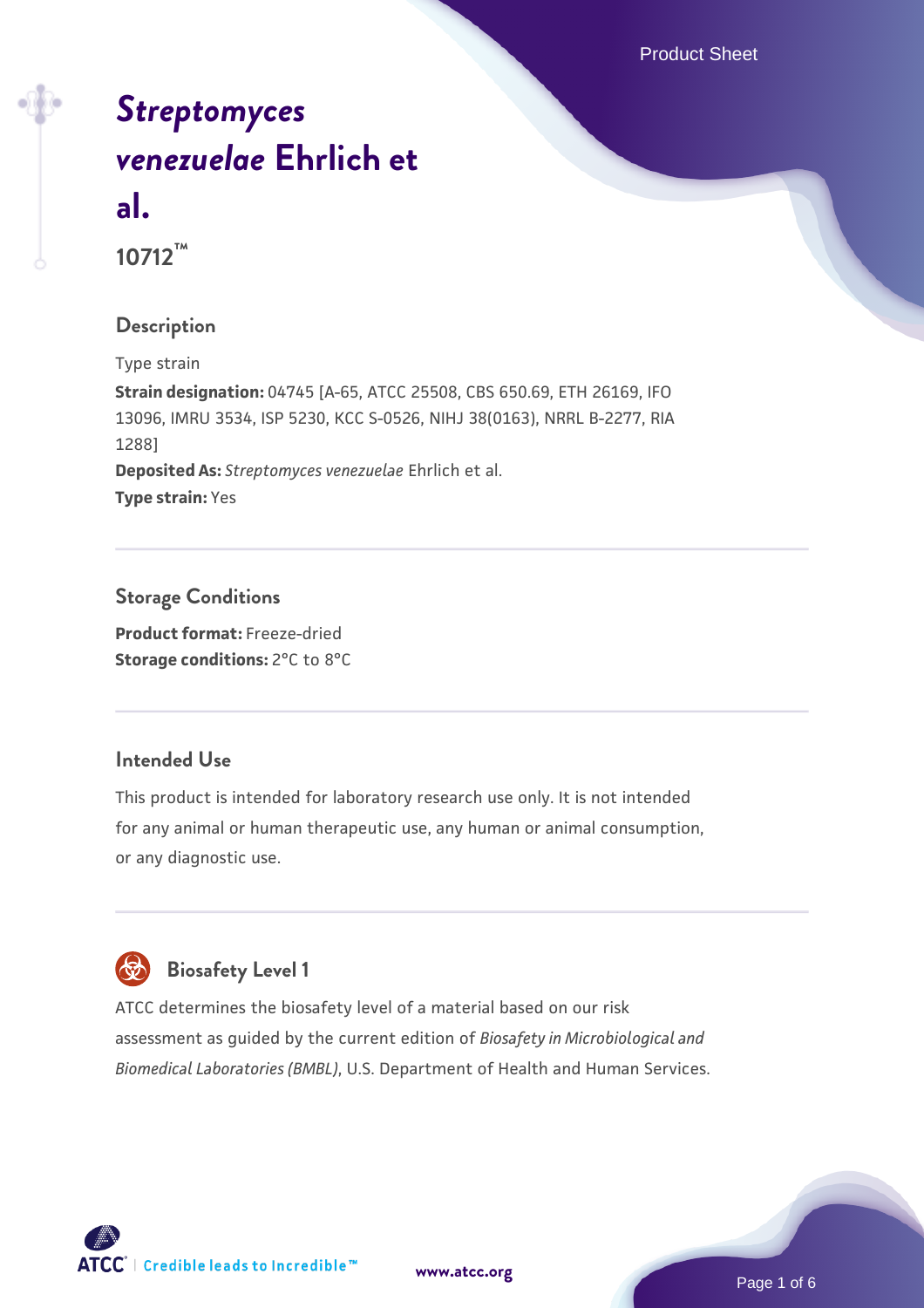Product Sheet

# *[Streptomyces](https://www.atcc.org/products/10712) [venezuelae](https://www.atcc.org/products/10712)* **[Ehrlich et](https://www.atcc.org/products/10712) [al.](https://www.atcc.org/products/10712)**

**10712™**

#### **Description**

Type strain **Strain designation:** 04745 [A-65, ATCC 25508, CBS 650.69, ETH 26169, IFO 13096, IMRU 3534, ISP 5230, KCC S-0526, NIHJ 38(0163), NRRL B-2277, RIA 1288] **Deposited As:** *Streptomyces venezuelae* Ehrlich et al. **Type strain:** Yes

## **Storage Conditions**

**Product format:** Freeze-dried **Storage conditions: 2°C to 8°C** 

#### **Intended Use**

This product is intended for laboratory research use only. It is not intended for any animal or human therapeutic use, any human or animal consumption, or any diagnostic use.

# **Biosafety Level 1**

ATCC determines the biosafety level of a material based on our risk assessment as guided by the current edition of *Biosafety in Microbiological and Biomedical Laboratories (BMBL)*, U.S. Department of Health and Human Services.



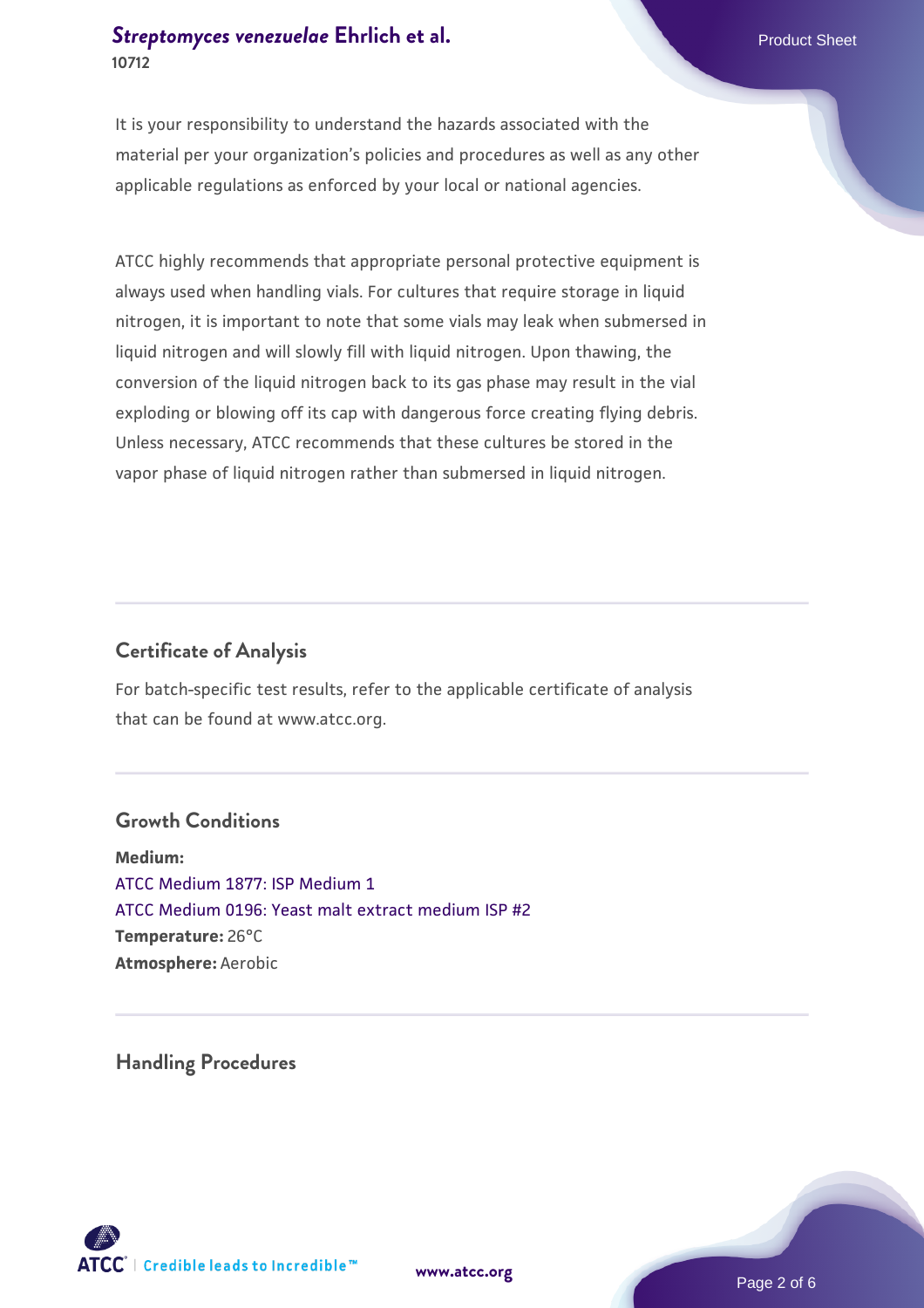#### **[Streptomyces venezuelae](https://www.atcc.org/products/10712)** [Ehrlich et al.](https://www.atcc.org/products/10712) **Product Sheet Allen Engineering Streptomyces venezuelae** Ehrlich et al. **10712**

It is your responsibility to understand the hazards associated with the material per your organization's policies and procedures as well as any other applicable regulations as enforced by your local or national agencies.

ATCC highly recommends that appropriate personal protective equipment is always used when handling vials. For cultures that require storage in liquid nitrogen, it is important to note that some vials may leak when submersed in liquid nitrogen and will slowly fill with liquid nitrogen. Upon thawing, the conversion of the liquid nitrogen back to its gas phase may result in the vial exploding or blowing off its cap with dangerous force creating flying debris. Unless necessary, ATCC recommends that these cultures be stored in the vapor phase of liquid nitrogen rather than submersed in liquid nitrogen.

#### **Certificate of Analysis**

For batch-specific test results, refer to the applicable certificate of analysis that can be found at www.atcc.org.

#### **Growth Conditions**

**Medium:**  [ATCC Medium 1877: ISP Medium 1](https://www.atcc.org/-/media/product-assets/documents/microbial-media-formulations/1/8/7/7/atcc-medium-1877.pdf?rev=a4a6ef734f1c4135a586e92dc00592c5) [ATCC Medium 0196: Yeast malt extract medium ISP #2](https://www.atcc.org/-/media/product-assets/documents/microbial-media-formulations/1/9/6/atcc-medium-0196.pdf?rev=3ab98ce3034f46208b34017336aa4c86) **Temperature:** 26°C **Atmosphere:** Aerobic

**Handling Procedures**



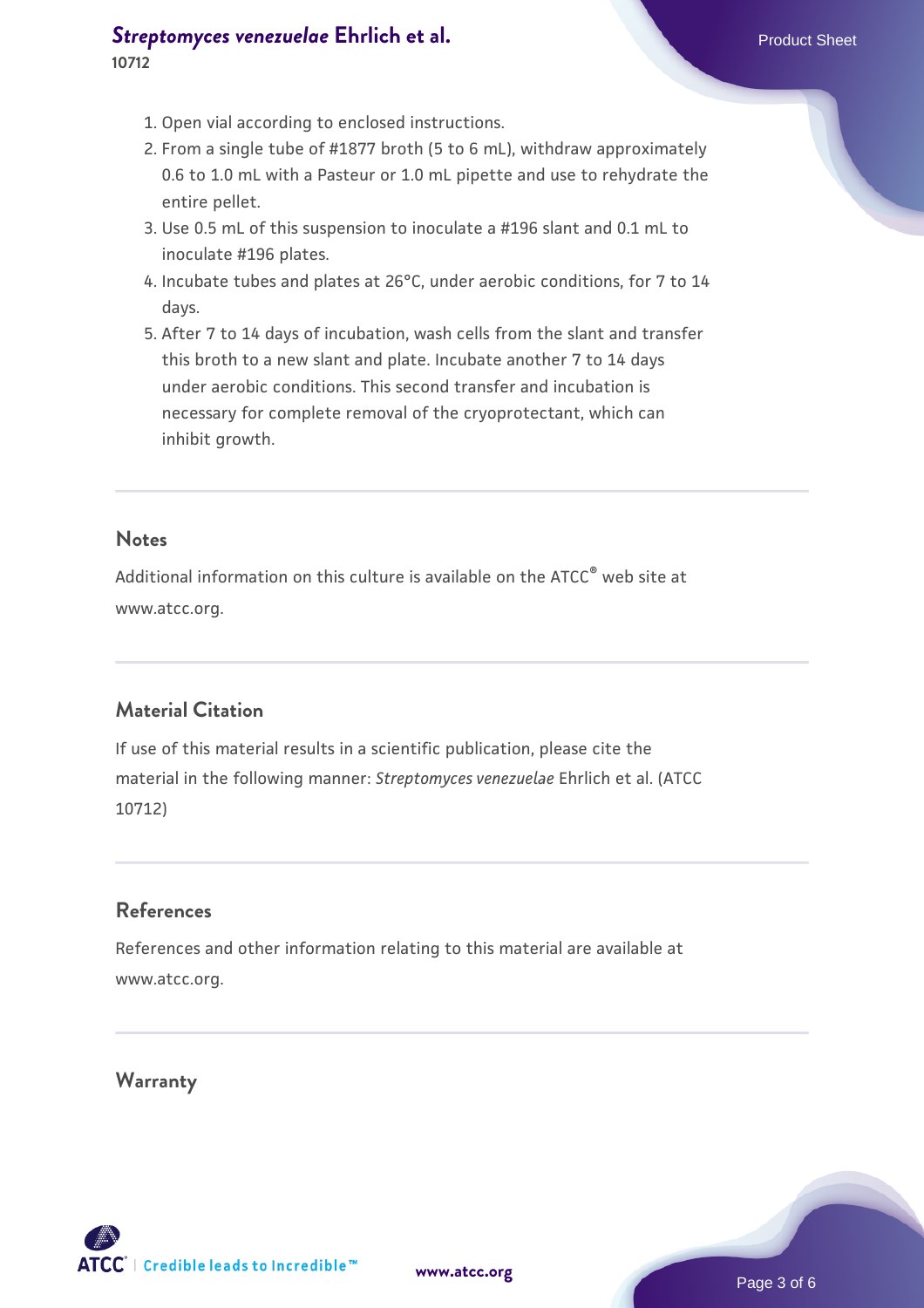#### **[Streptomyces venezuelae](https://www.atcc.org/products/10712)** [Ehrlich et al.](https://www.atcc.org/products/10712) **Product Sheet Allen Engineering Streptomyces venezuelae** Ehrlich et al. **10712**

- 1. Open vial according to enclosed instructions.
- 2. From a single tube of #1877 broth (5 to 6 mL), withdraw approximately 0.6 to 1.0 mL with a Pasteur or 1.0 mL pipette and use to rehydrate the entire pellet.
- 3. Use 0.5 mL of this suspension to inoculate a #196 slant and 0.1 mL to inoculate #196 plates.
- 4. Incubate tubes and plates at 26°C, under aerobic conditions, for 7 to 14  $\,$ days.
- 5. After 7 to 14 days of incubation, wash cells from the slant and transfer this broth to a new slant and plate. Incubate another 7 to 14 days under aerobic conditions. This second transfer and incubation is necessary for complete removal of the cryoprotectant, which can inhibit growth.

#### **Notes**

Additional information on this culture is available on the ATCC<sup>®</sup> web site at www.atcc.org.

#### **Material Citation**

If use of this material results in a scientific publication, please cite the material in the following manner: *Streptomyces venezuelae* Ehrlich et al. (ATCC 10712)

#### **References**

References and other information relating to this material are available at www.atcc.org.

#### **Warranty**

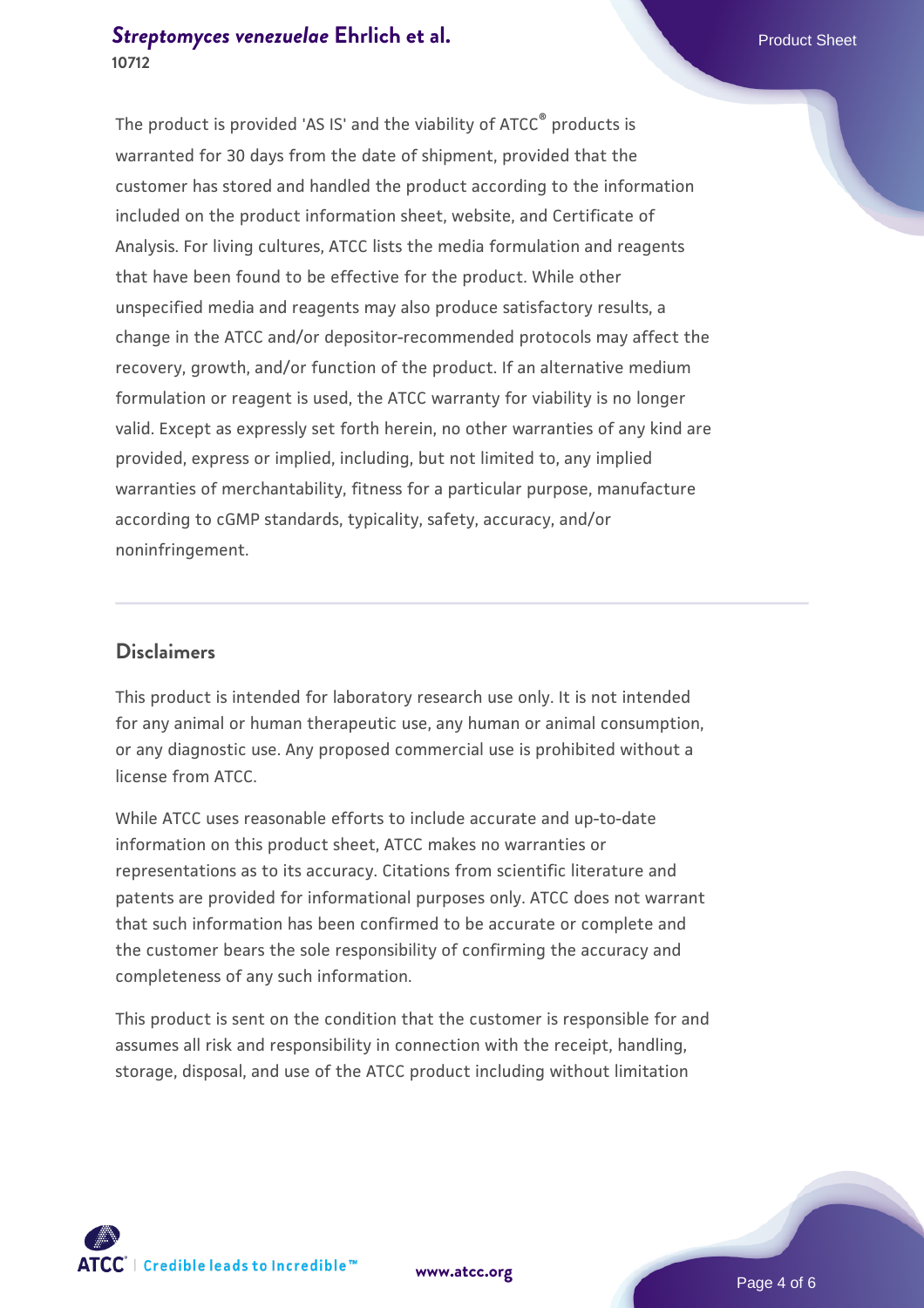#### **[Streptomyces venezuelae](https://www.atcc.org/products/10712)** [Ehrlich et al.](https://www.atcc.org/products/10712) **Product Sheet Allen Engineering Streptomyces venezuelae** Ehrlich et al. **10712**

The product is provided 'AS IS' and the viability of ATCC® products is warranted for 30 days from the date of shipment, provided that the customer has stored and handled the product according to the information included on the product information sheet, website, and Certificate of Analysis. For living cultures, ATCC lists the media formulation and reagents that have been found to be effective for the product. While other unspecified media and reagents may also produce satisfactory results, a change in the ATCC and/or depositor-recommended protocols may affect the recovery, growth, and/or function of the product. If an alternative medium formulation or reagent is used, the ATCC warranty for viability is no longer valid. Except as expressly set forth herein, no other warranties of any kind are provided, express or implied, including, but not limited to, any implied warranties of merchantability, fitness for a particular purpose, manufacture according to cGMP standards, typicality, safety, accuracy, and/or noninfringement.

#### **Disclaimers**

This product is intended for laboratory research use only. It is not intended for any animal or human therapeutic use, any human or animal consumption, or any diagnostic use. Any proposed commercial use is prohibited without a license from ATCC.

While ATCC uses reasonable efforts to include accurate and up-to-date information on this product sheet, ATCC makes no warranties or representations as to its accuracy. Citations from scientific literature and patents are provided for informational purposes only. ATCC does not warrant that such information has been confirmed to be accurate or complete and the customer bears the sole responsibility of confirming the accuracy and completeness of any such information.

This product is sent on the condition that the customer is responsible for and assumes all risk and responsibility in connection with the receipt, handling, storage, disposal, and use of the ATCC product including without limitation



**[www.atcc.org](http://www.atcc.org)**

Page 4 of 6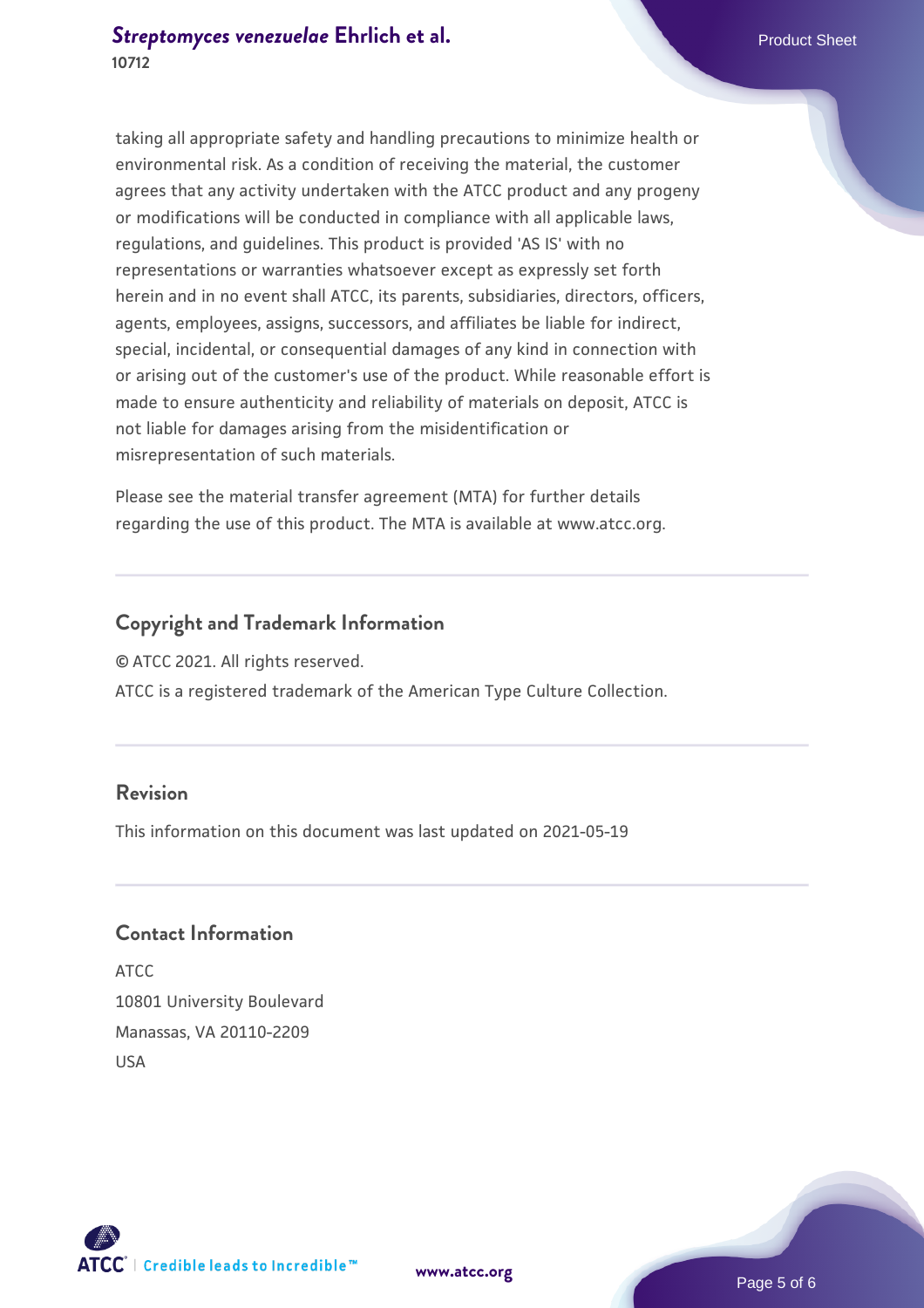taking all appropriate safety and handling precautions to minimize health or environmental risk. As a condition of receiving the material, the customer agrees that any activity undertaken with the ATCC product and any progeny or modifications will be conducted in compliance with all applicable laws, regulations, and guidelines. This product is provided 'AS IS' with no representations or warranties whatsoever except as expressly set forth herein and in no event shall ATCC, its parents, subsidiaries, directors, officers, agents, employees, assigns, successors, and affiliates be liable for indirect, special, incidental, or consequential damages of any kind in connection with or arising out of the customer's use of the product. While reasonable effort is made to ensure authenticity and reliability of materials on deposit, ATCC is not liable for damages arising from the misidentification or misrepresentation of such materials.

Please see the material transfer agreement (MTA) for further details regarding the use of this product. The MTA is available at www.atcc.org.

#### **Copyright and Trademark Information**

© ATCC 2021. All rights reserved.

ATCC is a registered trademark of the American Type Culture Collection.

#### **Revision**

This information on this document was last updated on 2021-05-19

#### **Contact Information**

ATCC 10801 University Boulevard Manassas, VA 20110-2209 USA